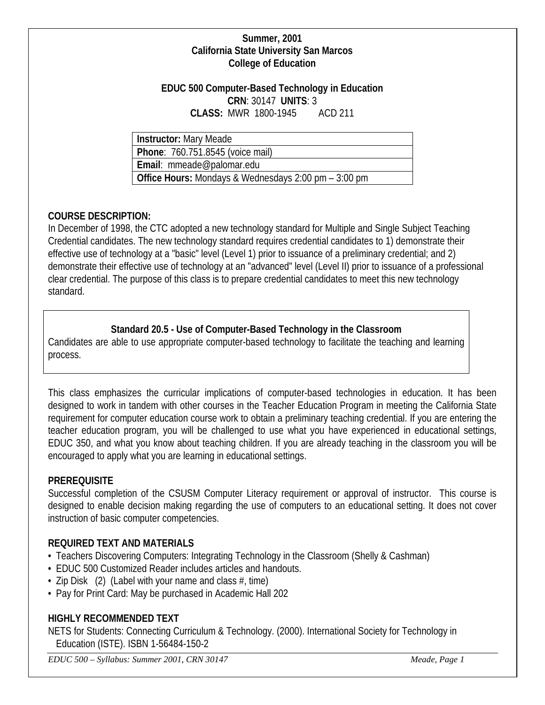#### **Summer, 2001 California State University San Marcos College of Education**

#### **EDUC 500 Computer-Based Technology in Education CRN**: 30147 **UNITS**: 3 **CLASS:** MWR 1800-1945 ACD 211

**Instructor:** Mary Meade

**Phone**: 760.751.8545 (voice mail)

**Email**: mmeade@palomar.edu

**Office Hours:** Mondays & Wednesdays 2:00 pm – 3:00 pm

## **COURSE DESCRIPTION:**

In December of 1998, the CTC adopted a new technology standard for Multiple and Single Subject Teaching Credential candidates. The new technology standard requires credential candidates to 1) demonstrate their effective use of technology at a "basic" level (Level 1) prior to issuance of a preliminary credential; and 2) demonstrate their effective use of technology at an "advanced" level (Level II) prior to issuance of a professional clear credential. The purpose of this class is to prepare credential candidates to meet this new technology standard.

## **Standard 20.5 - Use of Computer-Based Technology in the Classroom**

Candidates are able to use appropriate computer-based technology to facilitate the teaching and learning process.

This class emphasizes the curricular implications of computer-based technologies in education. It has been designed to work in tandem with other courses in the Teacher Education Program in meeting the California State requirement for computer education course work to obtain a preliminary teaching credential. If you are entering the teacher education program, you will be challenged to use what you have experienced in educational settings, EDUC 350, and what you know about teaching children. If you are already teaching in the classroom you will be encouraged to apply what you are learning in educational settings.

## **PREREQUISITE**

Successful completion of the CSUSM Computer Literacy requirement or approval of instructor. This course is designed to enable decision making regarding the use of computers to an educational setting. It does not cover instruction of basic computer competencies.

## **REQUIRED TEXT AND MATERIALS**

- Teachers Discovering Computers: Integrating Technology in the Classroom (Shelly & Cashman)
- EDUC 500 Customized Reader includes articles and handouts.
- Zip Disk  $(2)$  (Label with your name and class  $\#$ , time)
- Pay for Print Card: May be purchased in Academic Hall 202

## **HIGHLY RECOMMENDED TEXT**

NETS for Students: Connecting Curriculum & Technology. (2000). International Society for Technology in Education (ISTE). ISBN 1-56484-150-2

*EDUC 500 – Syllabus: Summer 2001, CRN 30147 Meade, Page 1*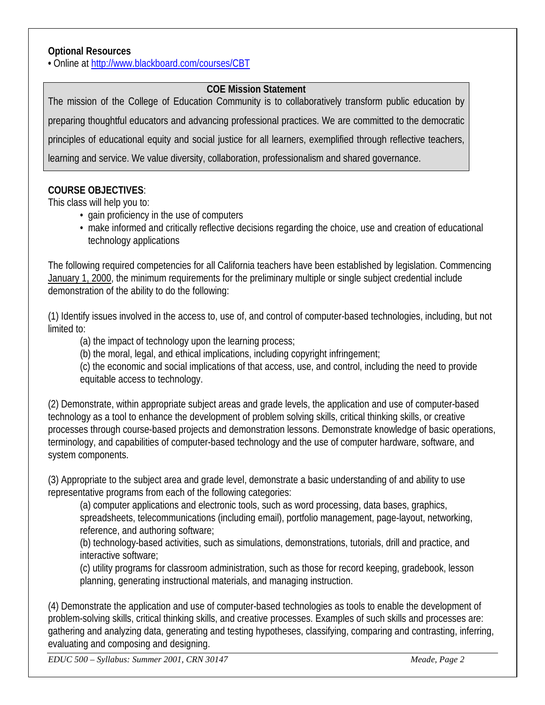#### **Optional Resources**

**•** Online at<http://www.blackboard.com/courses/CBT>

## **COE Mission Statement**

The mission of the College of Education Community is to collaboratively transform public education by preparing thoughtful educators and advancing professional practices. We are committed to the democratic principles of educational equity and social justice for all learners, exemplified through reflective teachers, learning and service. We value diversity, collaboration, professionalism and shared governance.

## **COURSE OBJECTIVES**:

This class will help you to:

- gain proficiency in the use of computers
- make informed and critically reflective decisions regarding the choice, use and creation of educational technology applications

The following required competencies for all California teachers have been established by legislation. Commencing January 1, 2000, the minimum requirements for the preliminary multiple or single subject credential include demonstration of the ability to do the following:

(1) Identify issues involved in the access to, use of, and control of computer-based technologies, including, but not limited to:

(a) the impact of technology upon the learning process;

(b) the moral, legal, and ethical implications, including copyright infringement;

(c) the economic and social implications of that access, use, and control, including the need to provide equitable access to technology.

(2) Demonstrate, within appropriate subject areas and grade levels, the application and use of computer-based technology as a tool to enhance the development of problem solving skills, critical thinking skills, or creative processes through course-based projects and demonstration lessons. Demonstrate knowledge of basic operations, terminology, and capabilities of computer-based technology and the use of computer hardware, software, and system components.

(3) Appropriate to the subject area and grade level, demonstrate a basic understanding of and ability to use representative programs from each of the following categories:

(a) computer applications and electronic tools, such as word processing, data bases, graphics, spreadsheets, telecommunications (including email), portfolio management, page-layout, networking, reference, and authoring software;

(b) technology-based activities, such as simulations, demonstrations, tutorials, drill and practice, and interactive software;

(c) utility programs for classroom administration, such as those for record keeping, gradebook, lesson planning, generating instructional materials, and managing instruction.

(4) Demonstrate the application and use of computer-based technologies as tools to enable the development of problem-solving skills, critical thinking skills, and creative processes. Examples of such skills and processes are: gathering and analyzing data, generating and testing hypotheses, classifying, comparing and contrasting, inferring, evaluating and composing and designing.

*EDUC 500 – Syllabus: Summer 2001, CRN 30147 Meade, Page 2*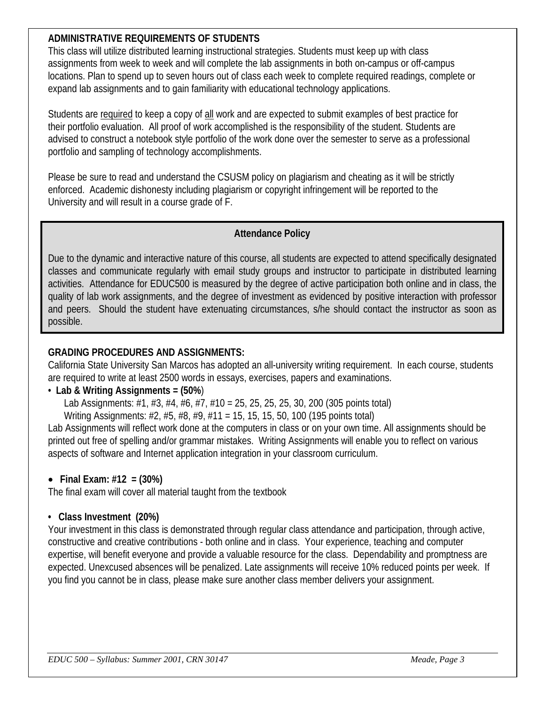## **ADMINISTRATIVE REQUIREMENTS OF STUDENTS**

This class will utilize distributed learning instructional strategies. Students must keep up with class assignments from week to week and will complete the lab assignments in both on-campus or off-campus locations. Plan to spend up to seven hours out of class each week to complete required readings, complete or expand lab assignments and to gain familiarity with educational technology applications.

Students are required to keep a copy of all work and are expected to submit examples of best practice for their portfolio evaluation. All proof of work accomplished is the responsibility of the student. Students are advised to construct a notebook style portfolio of the work done over the semester to serve as a professional portfolio and sampling of technology accomplishments.

Please be sure to read and understand the CSUSM policy on plagiarism and cheating as it will be strictly enforced. Academic dishonesty including plagiarism or copyright infringement will be reported to the University and will result in a course grade of F.

## **Attendance Policy**

Due to the dynamic and interactive nature of this course, all students are expected to attend specifically designated classes and communicate regularly with email study groups and instructor to participate in distributed learning activities. Attendance for EDUC500 is measured by the degree of active participation both online and in class, the quality of lab work assignments, and the degree of investment as evidenced by positive interaction with professor and peers. Should the student have extenuating circumstances, s/he should contact the instructor as soon as possible.

## **GRADING PROCEDURES AND ASSIGNMENTS:**

California State University San Marcos has adopted an all-university writing requirement. In each course, students are required to write at least 2500 words in essays, exercises, papers and examinations.

## • **Lab & Writing Assignments = (50%**)

Lab Assignments: #1, #3, #4, #6, #7, #10 = 25, 25, 25, 25, 30, 200 (305 points total)

Writing Assignments: #2, #5, #8, #9, #11 = 15, 15, 15, 50, 100 (195 points total)

Lab Assignments will reflect work done at the computers in class or on your own time. All assignments should be printed out free of spelling and/or grammar mistakes. Writing Assignments will enable you to reflect on various aspects of software and Internet application integration in your classroom curriculum.

# • **Final Exam: #12 = (30%)**

The final exam will cover all material taught from the textbook

# **• Class Investment (20%)**

Your investment in this class is demonstrated through regular class attendance and participation, through active, constructive and creative contributions - both online and in class. Your experience, teaching and computer expertise, will benefit everyone and provide a valuable resource for the class. Dependability and promptness are expected. Unexcused absences will be penalized. Late assignments will receive 10% reduced points per week. If you find you cannot be in class, please make sure another class member delivers your assignment.